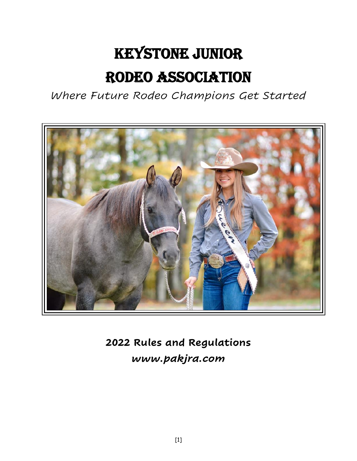## Keystone Junior Rodeo Association

*Where Future Rodeo Champions Get Started*



**2022 Rules and Regulations** *www.pakjra.com*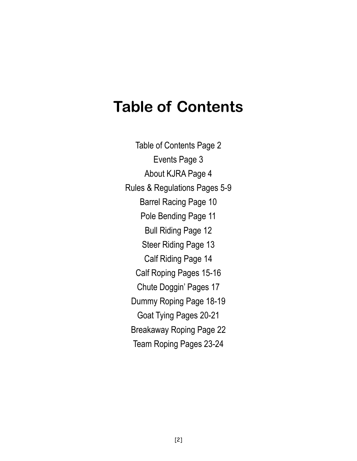## **Table of Contents**

Table of Contents Page 2 Events Page 3 About KJRA Page 4 Rules & Regulations Pages 5-9 Barrel Racing Page 10 Pole Bending Page 11 Bull Riding Page 12 Steer Riding Page 13 Calf Riding Page 14 Calf Roping Pages 15-16 Chute Doggin' Pages 17 Dummy Roping Page 18-19 Goat Tying Pages 20-21 Breakaway Roping Page 22 Team Roping Pages 23-24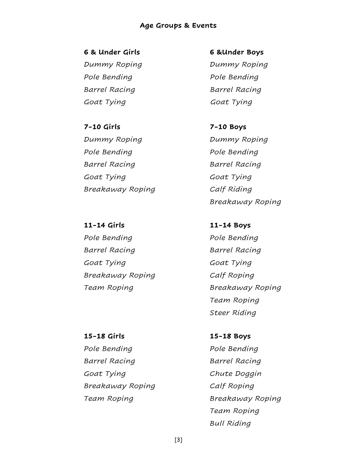#### **Age Groups & Events**

**6 & Under Girls 6 &Under Boys** 

*Pole Bending Pole Bending Barrel Racing Barrel Racing Goat Tying Goat Tying*

**7-10 Girls 7-10 Boys** *Dummy Roping Dummy Roping Pole Bending Pole Bending Barrel Racing Barrel Racing Goat Tying Goat Tying Breakaway Roping Calf Riding*

**11-14 Girls 11-14 Boys** *Pole Bending Pole Bending Barrel Racing Barrel Racing Goat Tying Goat Tying Breakaway Roping Calf Roping*

*Dummy Roping Dummy Roping*

*Breakaway Roping*

*Team Roping Breakaway Roping Team Roping Steer Riding*

**15-18 Girls 15-18 Boys** *Pole Bending Pole Bending Barrel Racing Barrel Racing Goat Tying Chute Doggin Breakaway Roping Calf Roping*

*Team Roping Breakaway Roping Team Roping Bull Riding*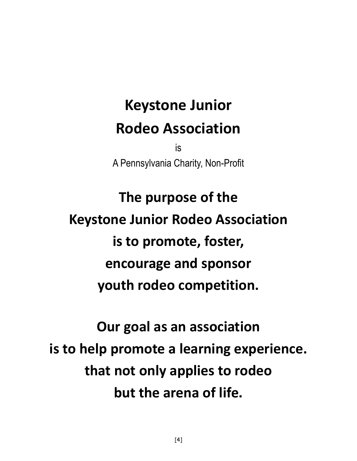## **Keystone Junior Rodeo Association**

is A Pennsylvania Charity, Non-Profit

# **The purpose of the Keystone Junior Rodeo Association is to promote, foster, encourage and sponsor youth rodeo competition.**

**Our goal as an association is to help promote a learning experience. that not only applies to rodeo but the arena of life.**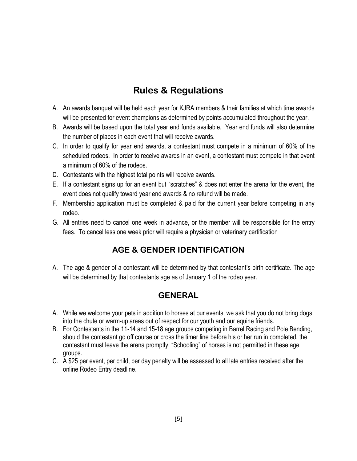## **Rules & Regulations**

- A. An awards banquet will be held each year for KJRA members & their families at which time awards will be presented for event champions as determined by points accumulated throughout the year.
- B. Awards will be based upon the total year end funds available. Year end funds will also determine the number of places in each event that will receive awards.
- C. In order to qualify for year end awards, a contestant must compete in a minimum of 60% of the scheduled rodeos. In order to receive awards in an event, a contestant must compete in that event a minimum of 60% of the rodeos.
- D. Contestants with the highest total points will receive awards.
- E. If a contestant signs up for an event but "scratches" & does not enter the arena for the event, the event does not qualify toward year end awards & no refund will be made.
- F. Membership application must be completed & paid for the current year before competing in any rodeo.
- G. All entries need to cancel one week in advance, or the member will be responsible for the entry fees. To cancel less one week prior will require a physician or veterinary certification

## **AGE & GENDER IDENTIFICATION**

A. The age & gender of a contestant will be determined by that contestant's birth certificate. The age will be determined by that contestants age as of January 1 of the rodeo year.

## **GENERAL**

- A. While we welcome your pets in addition to horses at our events, we ask that you do not bring dogs into the chute or warm-up areas out of respect for our youth and our equine friends.
- B. For Contestants in the 11-14 and 15-18 age groups competing in Barrel Racing and Pole Bending, should the contestant go off course or cross the timer line before his or her run in completed, the contestant must leave the arena promptly. "Schooling" of horses is not permitted in these age groups.
- C. A \$25 per event, per child, per day penalty will be assessed to all late entries received after the online Rodeo Entry deadline.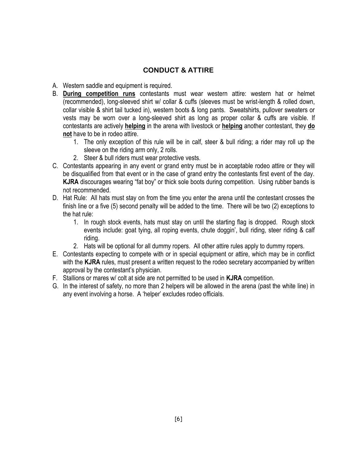#### **CONDUCT & ATTIRE**

- A. Western saddle and equipment is required.
- B. **During competition runs** contestants must wear western attire: western hat or helmet (recommended), long-sleeved shirt w/ collar & cuffs (sleeves must be wrist-length & rolled down, collar visible & shirt tail tucked in), western boots & long pants. Sweatshirts, pullover sweaters or vests may be worn over a long-sleeved shirt as long as proper collar & cuffs are visible. If contestants are actively **helping** in the arena with livestock or **helping** another contestant, they **do not** have to be in rodeo attire.
	- 1. The only exception of this rule will be in calf, steer & bull riding; a rider may roll up the sleeve on the riding arm only, 2 rolls.
	- 2. Steer & bull riders must wear protective vests.
- C. Contestants appearing in any event or grand entry must be in acceptable rodeo attire or they will be disqualified from that event or in the case of grand entry the contestants first event of the day. **KJRA** discourages wearing "fat boy" or thick sole boots during competition. Using rubber bands is not recommended.
- D. Hat Rule: All hats must stay on from the time you enter the arena until the contestant crosses the finish line or a five (5) second penalty will be added to the time. There will be two (2) exceptions to the hat rule:
	- 1. In rough stock events, hats must stay on until the starting flag is dropped. Rough stock events include: goat tying, all roping events, chute doggin', bull riding, steer riding & calf riding.
	- 2. Hats will be optional for all dummy ropers. All other attire rules apply to dummy ropers.
- E. Contestants expecting to compete with or in special equipment or attire, which may be in conflict with the **KJRA** rules, must present a written request to the rodeo secretary accompanied by written approval by the contestant's physician.
- F. Stallions or mares w/ colt at side are not permitted to be used in **KJRA** competition.
- G. In the interest of safety, no more than 2 helpers will be allowed in the arena (past the white line) in any event involving a horse. A 'helper' excludes rodeo officials.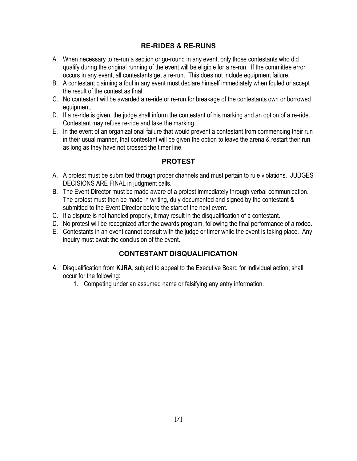#### **RE-RIDES & RE-RUNS**

- A. When necessary to re-run a section or go-round in any event, only those contestants who did qualify during the original running of the event will be eligible for a re-run. If the committee error occurs in any event, all contestants get a re-run. This does not include equipment failure.
- B. A contestant claiming a foul in any event must declare himself immediately when fouled or accept the result of the contest as final.
- C. No contestant will be awarded a re-ride or re-run for breakage of the contestants own or borrowed equipment.
- D. If a re-ride is given, the judge shall inform the contestant of his marking and an option of a re-ride. Contestant may refuse re-ride and take the marking.
- E. In the event of an organizational failure that would prevent a contestant from commencing their run in their usual manner, that contestant will be given the option to leave the arena & restart their run as long as they have not crossed the timer line.

#### **PROTEST**

- A. A protest must be submitted through proper channels and must pertain to rule violations. JUDGES DECISIONS ARE FINAL in judgment calls.
- B. The Event Director must be made aware of a protest immediately through verbal communication. The protest must then be made in writing, duly documented and signed by the contestant & submitted to the Event Director before the start of the next event.
- C. If a dispute is not handled properly, it may result in the disqualification of a contestant.
- D. No protest will be recognized after the awards program, following the final performance of a rodeo.
- E. Contestants in an event cannot consult with the judge or timer while the event is taking place. Any inquiry must await the conclusion of the event.

#### **CONTESTANT DISQUALIFICATION**

- A. Disqualification from **KJRA**, subject to appeal to the Executive Board for individual action, shall occur for the following:
	- 1. Competing under an assumed name or falsifying any entry information.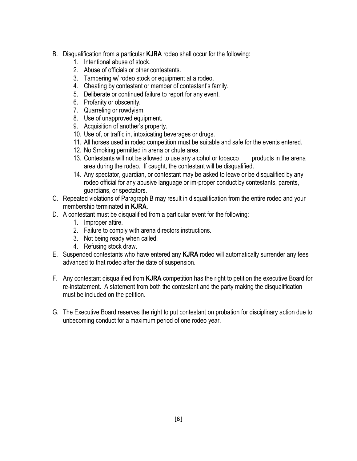- B. Disqualification from a particular **KJRA** rodeo shall occur for the following:
	- 1. Intentional abuse of stock.
	- 2. Abuse of officials or other contestants.
	- 3. Tampering w/ rodeo stock or equipment at a rodeo.
	- 4. Cheating by contestant or member of contestant's family.
	- 5. Deliberate or continued failure to report for any event.
	- 6. Profanity or obscenity.
	- 7. Quarreling or rowdyism.
	- 8. Use of unapproved equipment.
	- 9. Acquisition of another's property.
	- 10. Use of, or traffic in, intoxicating beverages or drugs.
	- 11. All horses used in rodeo competition must be suitable and safe for the events entered.
	- 12. No Smoking permitted in arena or chute area.
	- 13. Contestants will not be allowed to use any alcohol or tobacco products in the arena area during the rodeo. If caught, the contestant will be disqualified.
	- 14. Any spectator, guardian, or contestant may be asked to leave or be disqualified by any rodeo official for any abusive language or im-proper conduct by contestants, parents, guardians, or spectators.
- C. Repeated violations of Paragraph B may result in disqualification from the entire rodeo and your membership terminated in **KJRA**.
- D. A contestant must be disqualified from a particular event for the following:
	- 1. Improper attire.
	- 2. Failure to comply with arena directors instructions.
	- 3. Not being ready when called.
	- 4. Refusing stock draw.
- E. Suspended contestants who have entered any **KJRA** rodeo will automatically surrender any fees advanced to that rodeo after the date of suspension.
- F. Any contestant disqualified from **KJRA** competition has the right to petition the executive Board for re-instatement. A statement from both the contestant and the party making the disqualification must be included on the petition.
- G. The Executive Board reserves the right to put contestant on probation for disciplinary action due to unbecoming conduct for a maximum period of one rodeo year.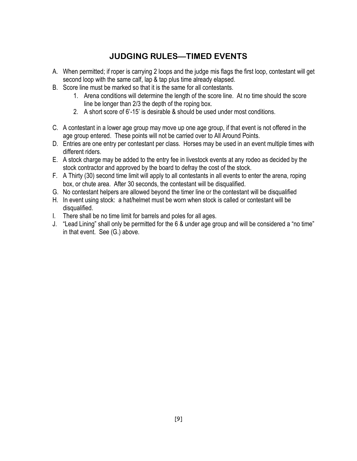## **JUDGING RULES—TIMED EVENTS**

- A. When permitted; if roper is carrying 2 loops and the judge mis flags the first loop, contestant will get second loop with the same calf, lap & tap plus time already elapsed.
- B. Score line must be marked so that it is the same for all contestants.
	- 1. Arena conditions will determine the length of the score line. At no time should the score line be longer than 2/3 the depth of the roping box.
	- 2. A short score of 6'-15' is desirable & should be used under most conditions.
- C. A contestant in a lower age group may move up one age group, if that event is not offered in the age group entered. These points will not be carried over to All Around Points.
- D. Entries are one entry per contestant per class. Horses may be used in an event multiple times with different riders.
- E. A stock charge may be added to the entry fee in livestock events at any rodeo as decided by the stock contractor and approved by the board to defray the cost of the stock.
- F. A Thirty (30) second time limit will apply to all contestants in all events to enter the arena, roping box, or chute area. After 30 seconds, the contestant will be disqualified.
- G. No contestant helpers are allowed beyond the timer line or the contestant will be disqualified
- H. In event using stock: a hat/helmet must be worn when stock is called or contestant will be disqualified.
- I. There shall be no time limit for barrels and poles for all ages.
- J. "Lead Lining" shall only be permitted for the 6 & under age group and will be considered a "no time" in that event. See (G.) above.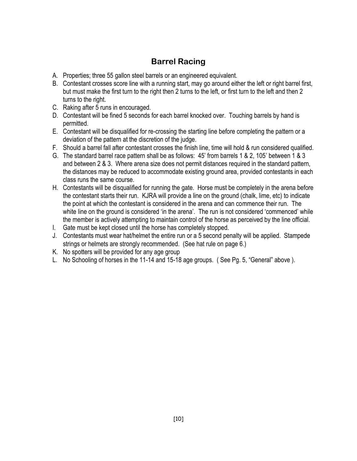## **Barrel Racing**

- A. Properties; three 55 gallon steel barrels or an engineered equivalent.
- B. Contestant crosses score line with a running start, may go around either the left or right barrel first, but must make the first turn to the right then 2 turns to the left, or first turn to the left and then 2 turns to the right.
- C. Raking after 5 runs in encouraged.
- D. Contestant will be fined 5 seconds for each barrel knocked over. Touching barrels by hand is permitted.
- E. Contestant will be disqualified for re-crossing the starting line before completing the pattern or a deviation of the pattern at the discretion of the judge.
- F. Should a barrel fall after contestant crosses the finish line, time will hold & run considered qualified.
- G. The standard barrel race pattern shall be as follows: 45' from barrels 1 & 2, 105' between 1 & 3 and between 2 & 3. Where arena size does not permit distances required in the standard pattern, the distances may be reduced to accommodate existing ground area, provided contestants in each class runs the same course.
- H. Contestants will be disqualified for running the gate. Horse must be completely in the arena before the contestant starts their run. KJRA will provide a line on the ground (chalk, lime, etc) to indicate the point at which the contestant is considered in the arena and can commence their run. The white line on the ground is considered 'in the arena'. The run is not considered 'commenced' while the member is actively attempting to maintain control of the horse as perceived by the line official.
- I. Gate must be kept closed until the horse has completely stopped.
- J. Contestants must wear hat/helmet the entire run or a 5 second penalty will be applied. Stampede strings or helmets are strongly recommended. (See hat rule on page 6.)
- K. No spotters will be provided for any age group
- L. No Schooling of horses in the 11-14 and 15-18 age groups. ( See Pg. 5, "General" above ).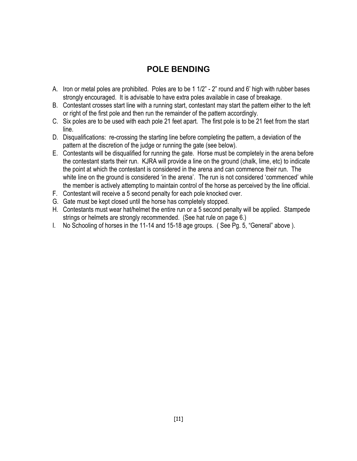## **POLE BENDING**

- A. Iron or metal poles are prohibited. Poles are to be 1 1/2" 2" round and 6' high with rubber bases strongly encouraged. It is advisable to have extra poles available in case of breakage.
- B. Contestant crosses start line with a running start, contestant may start the pattern either to the left or right of the first pole and then run the remainder of the pattern accordingly.
- C. Six poles are to be used with each pole 21 feet apart. The first pole is to be 21 feet from the start line.
- D. Disqualifications: re-crossing the starting line before completing the pattern, a deviation of the pattern at the discretion of the judge or running the gate (see below).
- E. Contestants will be disqualified for running the gate. Horse must be completely in the arena before the contestant starts their run. KJRA will provide a line on the ground (chalk, lime, etc) to indicate the point at which the contestant is considered in the arena and can commence their run. The white line on the ground is considered 'in the arena'. The run is not considered 'commenced' while the member is actively attempting to maintain control of the horse as perceived by the line official.
- F. Contestant will receive a 5 second penalty for each pole knocked over.
- G. Gate must be kept closed until the horse has completely stopped.
- H. Contestants must wear hat/helmet the entire run or a 5 second penalty will be applied. Stampede strings or helmets are strongly recommended. (See hat rule on page 6.)
- I. No Schooling of horses in the 11-14 and 15-18 age groups. ( See Pg. 5, "General" above ).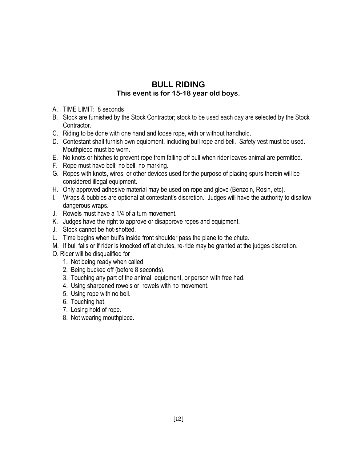#### **BULL RIDING This event is for 15-18 year old boys.**

- A. TIME LIMIT: 8 seconds
- B. Stock are furnished by the Stock Contractor; stock to be used each day are selected by the Stock Contractor.
- C. Riding to be done with one hand and loose rope, with or without handhold.
- D. Contestant shall furnish own equipment, including bull rope and bell. Safety vest must be used. Mouthpiece must be worn.
- E. No knots or hitches to prevent rope from falling off bull when rider leaves animal are permitted.
- F. Rope must have bell; no bell, no marking.
- G. Ropes with knots, wires, or other devices used for the purpose of placing spurs therein will be considered illegal equipment.
- H. Only approved adhesive material may be used on rope and glove (Benzoin, Rosin, etc).
- I. Wraps & bubbles are optional at contestant's discretion. Judges will have the authority to disallow dangerous wraps.
- J. Rowels must have a 1/4 of a turn movement.
- K. Judges have the right to approve or disapprove ropes and equipment.
- J. Stock cannot be hot-shotted.
- L. Time begins when bull's inside front shoulder pass the plane to the chute.
- M. If bull falls or if rider is knocked off at chutes, re-ride may be granted at the judges discretion.
- O. Rider will be disqualified for
	- 1. Not being ready when called.
	- 2. Being bucked off (before 8 seconds).
	- 3. Touching any part of the animal, equipment, or person with free had.
	- 4. Using sharpened rowels or rowels with no movement.
	- 5. Using rope with no bell.
	- 6. Touching hat.
	- 7. Losing hold of rope.
	- 8. Not wearing mouthpiece.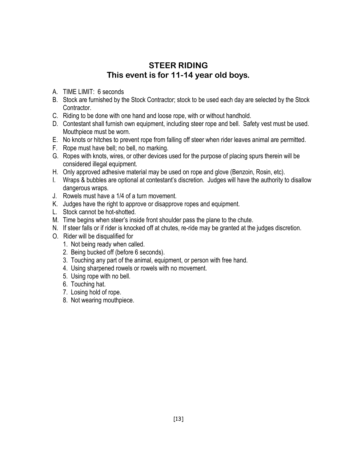### **STEER RIDING This event is for 11-14 year old boys.**

- A. TIME LIMIT: 6 seconds
- B. Stock are furnished by the Stock Contractor; stock to be used each day are selected by the Stock Contractor.
- C. Riding to be done with one hand and loose rope, with or without handhold.
- D. Contestant shall furnish own equipment, including steer rope and bell. Safety vest must be used. Mouthpiece must be worn.
- E. No knots or hitches to prevent rope from falling off steer when rider leaves animal are permitted.
- F. Rope must have bell; no bell, no marking.
- G. Ropes with knots, wires, or other devices used for the purpose of placing spurs therein will be considered illegal equipment.
- H. Only approved adhesive material may be used on rope and glove (Benzoin, Rosin, etc).
- I. Wraps & bubbles are optional at contestant's discretion. Judges will have the authority to disallow dangerous wraps.
- J. Rowels must have a 1/4 of a turn movement.
- K. Judges have the right to approve or disapprove ropes and equipment.
- L. Stock cannot be hot-shotted.
- M. Time begins when steer's inside front shoulder pass the plane to the chute.
- N. If steer falls or if rider is knocked off at chutes, re-ride may be granted at the judges discretion.
- O. Rider will be disqualified for
	- 1. Not being ready when called.
	- 2. Being bucked off (before 6 seconds).
	- 3. Touching any part of the animal, equipment, or person with free hand.
	- 4. Using sharpened rowels or rowels with no movement.
	- 5. Using rope with no bell.
	- 6. Touching hat.
	- 7. Losing hold of rope.
	- 8. Not wearing mouthpiece.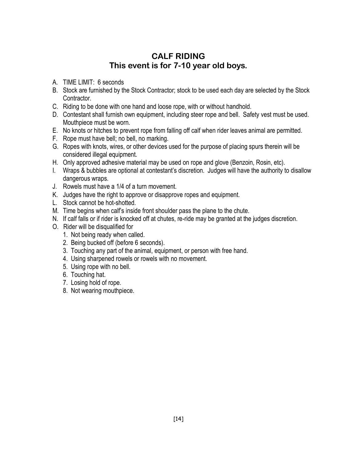## **CALF RIDING This event is for 7-10 year old boys.**

- A. TIME LIMIT: 6 seconds
- B. Stock are furnished by the Stock Contractor; stock to be used each day are selected by the Stock Contractor.
- C. Riding to be done with one hand and loose rope, with or without handhold.
- D. Contestant shall furnish own equipment, including steer rope and bell. Safety vest must be used. Mouthpiece must be worn.
- E. No knots or hitches to prevent rope from falling off calf when rider leaves animal are permitted.
- F. Rope must have bell; no bell, no marking.
- G. Ropes with knots, wires, or other devices used for the purpose of placing spurs therein will be considered illegal equipment.
- H. Only approved adhesive material may be used on rope and glove (Benzoin, Rosin, etc).
- I. Wraps & bubbles are optional at contestant's discretion. Judges will have the authority to disallow dangerous wraps.
- J. Rowels must have a 1/4 of a turn movement.
- K. Judges have the right to approve or disapprove ropes and equipment.
- L. Stock cannot be hot-shotted.
- M. Time begins when calf's inside front shoulder pass the plane to the chute.
- N. If calf falls or if rider is knocked off at chutes, re-ride may be granted at the judges discretion.
- O. Rider will be disqualified for
	- 1. Not being ready when called.
	- 2. Being bucked off (before 6 seconds).
	- 3. Touching any part of the animal, equipment, or person with free hand.
	- 4. Using sharpened rowels or rowels with no movement.
	- 5. Using rope with no bell.
	- 6. Touching hat.
	- 7. Losing hold of rope.
	- 8. Not wearing mouthpiece.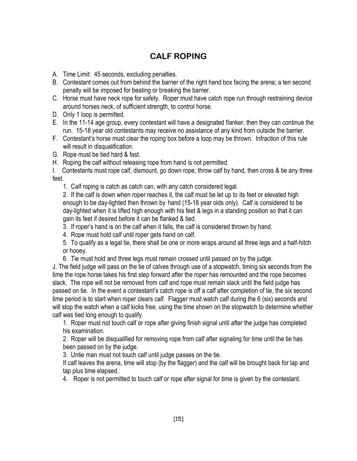## **CALF ROPING**

- A. Time Limit: 45 seconds, excluding penalties.
- B. Contestant comes out from behind the barrier of the right hand box facing the arena; a ten second penalty will be imposed for beating or breaking the barrier.
- C. Horse must have neck rope for safety. Roper must have catch rope run through restraining device around horses neck, of sufficient strength, to control horse.
- D. Only 1 loop is permitted.
- E. In the 11-14 age group, every contestant will have a designated flanker, then they can continue the run. 15-18 year old contestants may receive no assistance of any kind from outside the barrier.
- F. Contestant's horse must clear the roping box before a loop may be thrown. Infraction of this rule will result in disqualification.
- G. Rope must be tied hard & fast.
- H. Roping the calf without releasing rope from hand is not permitted.

I. Contestants must rope calf, dismount, go down rope, throw calf by hand, then cross & tie any three feet.

1. Calf roping is catch as catch can, with any catch considered legal.

2. If the calf is down when roper reaches it, the calf must be let up to its feet or elevated high enough to be day-lighted then thrown by hand (15-18 year olds only). Calf is considered to be day-lighted when it is lifted high enough with his feet & legs in a standing position so that it can gain its feet if desired before it can be flanked & tied.

- 3. If roper's hand is on the calf when it falls, the calf is considered thrown by hand.
- 4. Rope must hold calf until roper gets hand on calf.
- 5. To qualify as a legal tie, there shall be one or more wraps around all three legs and a half-hitch or hooey.
- 6. Tie must hold and three legs must remain crossed until passed on by the judge.

J. The field judge will pass on the tie of calves through use of a stopwatch, timing six seconds from the time the rope horse takes his first step forward after the roper has remounted and the rope becomes slack. The rope will not be removed from calf and rope must remain slack until the field judge has passed on tie. In the event a contestant's catch rope is off a calf after completion of tie, the six second time period is to start when roper clears calf. Flagger must watch calf during the 6 (six) seconds and will stop the watch when a calf kicks free, using the time shown on the stopwatch to determine whether calf was tied long enough to qualify.

1. Roper must not touch calf or rope after giving finish signal until after the judge has completed his examination.

2. Roper will be disqualified for removing rope from calf after signaling for time until the tie has been passed on by the judge.

3. Untie man must not touch calf until judge passes on the tie.

If calf leaves the arena, time will stop (by the flagger) and the calf will be brought back for lap and tap plus time elapsed.

4. Roper is not permitted to touch calf or rope after signal for time is given by the contestant.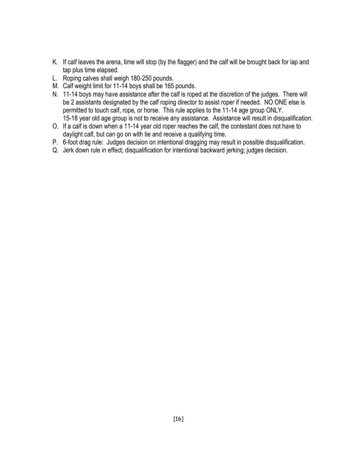- K. If calf leaves the arena, time will stop (by the flagger) and the calf will be brought back for lap and tap plus time elapsed.
- L. Roping calves shall weigh 180-250 pounds.
- M. Calf weight limit for 11-14 boys shall be 165 pounds.
- N. 11-14 boys may have assistance after the calf is roped at the discretion of the judges. There will be 2 assistants designated by the calf roping director to assist roper if needed. NO ONE else is permitted to touch calf, rope, or horse. This rule applies to the 11-14 age group ONLY. 15-18 year old age group is not to receive any assistance. Assistance will result in disqualification.
- O. If a calf is down when a 11-14 year old roper reaches the calf, the contestant does not have to daylight calf, but can go on with tie and receive a qualifying time.
- P. 6-foot drag rule: Judges decision on intentional dragging may result in possible disqualification.
- Q. Jerk down rule in effect; disqualification for intentional backward jerking; judges decision.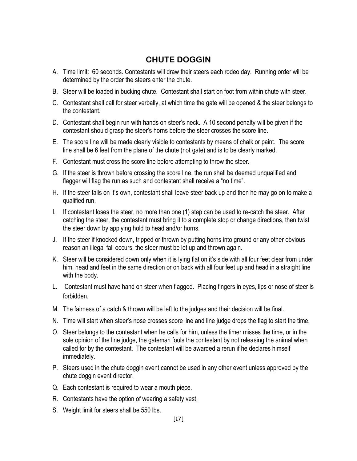## **CHUTE DOGGIN**

- A. Time limit: 60 seconds. Contestants will draw their steers each rodeo day. Running order will be determined by the order the steers enter the chute.
- B. Steer will be loaded in bucking chute. Contestant shall start on foot from within chute with steer.
- C. Contestant shall call for steer verbally, at which time the gate will be opened & the steer belongs to the contestant.
- D. Contestant shall begin run with hands on steer's neck. A 10 second penalty will be given if the contestant should grasp the steer's horns before the steer crosses the score line.
- E. The score line will be made clearly visible to contestants by means of chalk or paint. The score line shall be 6 feet from the plane of the chute (not gate) and is to be clearly marked.
- F. Contestant must cross the score line before attempting to throw the steer.
- G. If the steer is thrown before crossing the score line, the run shall be deemed unqualified and flagger will flag the run as such and contestant shall receive a "no time".
- H. If the steer falls on it's own, contestant shall leave steer back up and then he may go on to make a qualified run.
- I. If contestant loses the steer, no more than one (1) step can be used to re-catch the steer. After catching the steer, the contestant must bring it to a complete stop or change directions, then twist the steer down by applying hold to head and/or horns.
- J. If the steer if knocked down, tripped or thrown by putting horns into ground or any other obvious reason an illegal fall occurs, the steer must be let up and thrown again.
- K. Steer will be considered down only when it is lying flat on it's side with all four feet clear from under him, head and feet in the same direction or on back with all four feet up and head in a straight line with the body.
- L. Contestant must have hand on steer when flagged. Placing fingers in eyes, lips or nose of steer is forbidden.
- M. The fairness of a catch & thrown will be left to the judges and their decision will be final.
- N. Time will start when steer's nose crosses score line and line judge drops the flag to start the time.
- O. Steer belongs to the contestant when he calls for him, unless the timer misses the time, or in the sole opinion of the line judge, the gateman fouls the contestant by not releasing the animal when called for by the contestant. The contestant will be awarded a rerun if he declares himself immediately.
- P. Steers used in the chute doggin event cannot be used in any other event unless approved by the chute doggin event director.
- Q. Each contestant is required to wear a mouth piece.
- R. Contestants have the option of wearing a safety vest.
- S. Weight limit for steers shall be 550 lbs.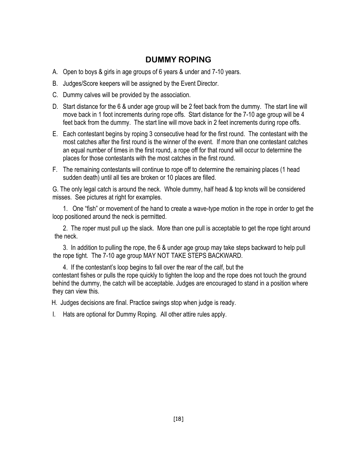## **DUMMY ROPING**

- A. Open to boys & girls in age groups of 6 years & under and 7-10 years.
- B. Judges/Score keepers will be assigned by the Event Director.
- C. Dummy calves will be provided by the association.
- D. Start distance for the 6 & under age group will be 2 feet back from the dummy. The start line will move back in 1 foot increments during rope offs. Start distance for the 7-10 age group will be 4 feet back from the dummy. The start line will move back in 2 feet increments during rope offs.
- E. Each contestant begins by roping 3 consecutive head for the first round. The contestant with the most catches after the first round is the winner of the event. If more than one contestant catches an equal number of times in the first round, a rope off for that round will occur to determine the places for those contestants with the most catches in the first round.
- F. The remaining contestants will continue to rope off to determine the remaining places (1 head sudden death) until all ties are broken or 10 places are filled.

G. The only legal catch is around the neck. Whole dummy, half head & top knots will be considered misses. See pictures at right for examples.

1. One "fish" or movement of the hand to create a wave-type motion in the rope in order to get the loop positioned around the neck is permitted.

2. The roper must pull up the slack. More than one pull is acceptable to get the rope tight around the neck.

3. In addition to pulling the rope, the 6 & under age group may take steps backward to help pull the rope tight. The 7-10 age group MAY NOT TAKE STEPS BACKWARD.

4. If the contestant's loop begins to fall over the rear of the calf, but the contestant fishes or pulls the rope quickly to tighten the loop and the rope does not touch the ground behind the dummy, the catch will be acceptable. Judges are encouraged to stand in a position where they can view this.

H. Judges decisions are final. Practice swings stop when judge is ready.

I. Hats are optional for Dummy Roping. All other attire rules apply.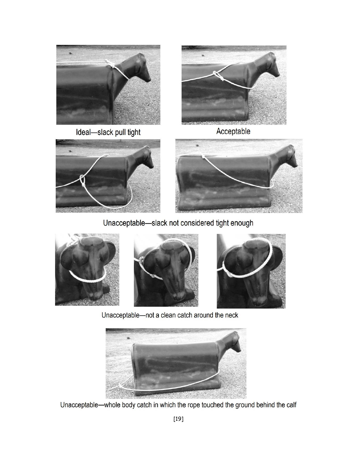

Ideal-slack pull tight



Acceptable





Unacceptable-slack not considered tight enough



Unacceptable-not a clean catch around the neck



Unacceptable—whole body catch in which the rope touched the ground behind the calf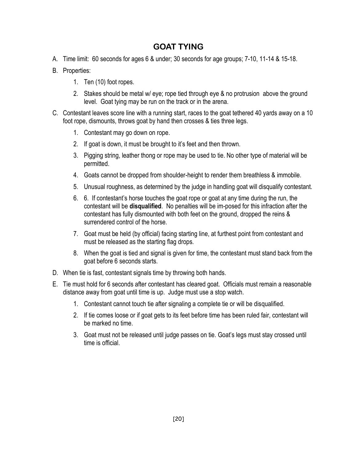## **GOAT TYING**

- A. Time limit: 60 seconds for ages 6 & under; 30 seconds for age groups; 7-10, 11-14 & 15-18.
- B. Properties:
	- 1. Ten (10) foot ropes.
	- 2. Stakes should be metal w/ eye; rope tied through eye & no protrusion above the ground level. Goat tying may be run on the track or in the arena.
- C. Contestant leaves score line with a running start, races to the goat tethered 40 yards away on a 10 foot rope, dismounts, throws goat by hand then crosses & ties three legs.
	- 1. Contestant may go down on rope.
	- 2. If goat is down, it must be brought to it's feet and then thrown.
	- 3. Pigging string, leather thong or rope may be used to tie. No other type of material will be permitted.
	- 4. Goats cannot be dropped from shoulder-height to render them breathless & immobile.
	- 5. Unusual roughness, as determined by the judge in handling goat will disqualify contestant.
	- 6. 6. If contestant's horse touches the goat rope or goat at any time during the run, the contestant will be **disqualified**. No penalties will be im-posed for this infraction after the contestant has fully dismounted with both feet on the ground, dropped the reins & surrendered control of the horse
	- 7. Goat must be held (by official) facing starting line, at furthest point from contestant and must be released as the starting flag drops.
	- 8. When the goat is tied and signal is given for time, the contestant must stand back from the goat before 6 seconds starts.
- D. When tie is fast, contestant signals time by throwing both hands.
- E. Tie must hold for 6 seconds after contestant has cleared goat. Officials must remain a reasonable distance away from goat until time is up. Judge must use a stop watch.
	- 1. Contestant cannot touch tie after signaling a complete tie or will be disqualified.
	- 2. If tie comes loose or if goat gets to its feet before time has been ruled fair, contestant will be marked no time.
	- 3. Goat must not be released until judge passes on tie. Goat's legs must stay crossed until time is official.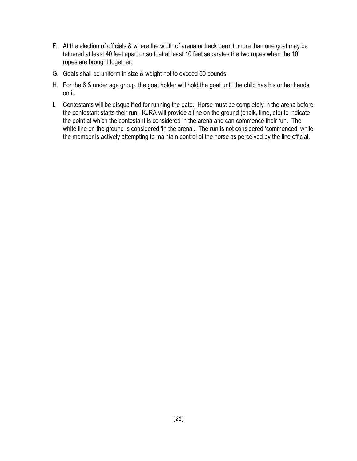- F. At the election of officials & where the width of arena or track permit, more than one goat may be tethered at least 40 feet apart or so that at least 10 feet separates the two ropes when the 10' ropes are brought together.
- G. Goats shall be uniform in size & weight not to exceed 50 pounds.
- H. For the 6 & under age group, the goat holder will hold the goat until the child has his or her hands on it.
- I. Contestants will be disqualified for running the gate. Horse must be completely in the arena before the contestant starts their run. KJRA will provide a line on the ground (chalk, lime, etc) to indicate the point at which the contestant is considered in the arena and can commence their run. The white line on the ground is considered 'in the arena'. The run is not considered 'commenced' while the member is actively attempting to maintain control of the horse as perceived by the line official.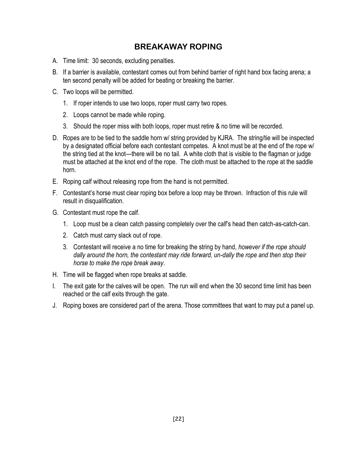## **BREAKAWAY ROPING**

- A. Time limit: 30 seconds, excluding penalties.
- B. If a barrier is available, contestant comes out from behind barrier of right hand box facing arena; a ten second penalty will be added for beating or breaking the barrier.
- C. Two loops will be permitted.
	- 1. If roper intends to use two loops, roper must carry two ropes.
	- 2. Loops cannot be made while roping.
	- 3. Should the roper miss with both loops, roper must retire & no time will be recorded.
- D. Ropes are to be tied to the saddle horn w/ string provided by KJRA. The string/tie will be inspected by a designated official before each contestant competes. A knot must be at the end of the rope w/ the string tied at the knot—there will be no tail. A white cloth that is visible to the flagman or judge must be attached at the knot end of the rope. The cloth must be attached to the rope at the saddle horn.
- E. Roping calf without releasing rope from the hand is not permitted.
- F. Contestant's horse must clear roping box before a loop may be thrown. Infraction of this rule will result in disqualification.
- G. Contestant must rope the calf.
	- 1. Loop must be a clean catch passing completely over the calf's head then catch-as-catch-can.
	- 2. Catch must carry slack out of rope.
	- 3. Contestant will receive a no time for breaking the string by hand, *however if the rope should dally around the horn, the contestant may ride forward, un-dally the rope and then stop their horse to make the rope break away*.
- H. Time will be flagged when rope breaks at saddle.
- I. The exit gate for the calves will be open. The run will end when the 30 second time limit has been reached or the calf exits through the gate.
- J. Roping boxes are considered part of the arena. Those committees that want to may put a panel up.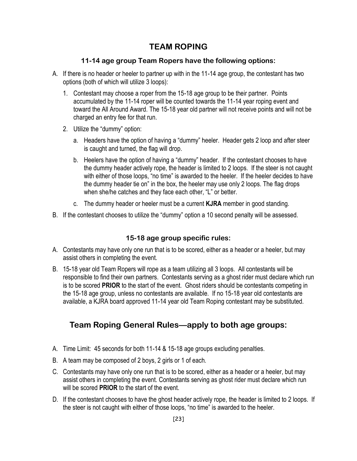## **TEAM ROPING**

#### **11-14 age group Team Ropers have the following options:**

- A. If there is no header or heeler to partner up with in the 11-14 age group, the contestant has two options (both of which will utilize 3 loops):
	- 1. Contestant may choose a roper from the 15-18 age group to be their partner. Points accumulated by the 11-14 roper will be counted towards the 11-14 year roping event and toward the All Around Award. The 15-18 year old partner will not receive points and will not be charged an entry fee for that run.
	- 2. Utilize the "dummy" option:
		- a. Headers have the option of having a "dummy" heeler. Header gets 2 loop and after steer is caught and turned, the flag will drop.
		- b. Heelers have the option of having a "dummy" header. If the contestant chooses to have the dummy header actively rope, the header is limited to 2 loops. If the steer is not caught with either of those loops, "no time" is awarded to the heeler. If the heeler decides to have the dummy header tie on" in the box, the heeler may use only 2 loops. The flag drops when she/he catches and they face each other, "L" or better.
		- c. The dummy header or heeler must be a current **KJRA** member in good standing.
- B. If the contestant chooses to utilize the "dummy" option a 10 second penalty will be assessed.

#### **15-18 age group specific rules:**

- A. Contestants may have only one run that is to be scored, either as a header or a heeler, but may assist others in completing the event.
- B. 15-18 year old Team Ropers will rope as a team utilizing all 3 loops. All contestants will be responsible to find their own partners. Contestants serving as a ghost rider must declare which run is to be scored **PRIOR** to the start of the event. Ghost riders should be contestants competing in the 15-18 age group, unless no contestants are available. If no 15-18 year old contestants are available, a KJRA board approved 11-14 year old Team Roping contestant may be substituted.

## **Team Roping General Rules—apply to both age groups:**

- A. Time Limit: 45 seconds for both 11-14 & 15-18 age groups excluding penalties.
- B. A team may be composed of 2 boys, 2 girls or 1 of each.
- C. Contestants may have only one run that is to be scored, either as a header or a heeler, but may assist others in completing the event. Contestants serving as ghost rider must declare which run will be scored **PRIOR** to the start of the event.
- D. If the contestant chooses to have the ghost header actively rope, the header is limited to 2 loops. If the steer is not caught with either of those loops, "no time" is awarded to the heeler.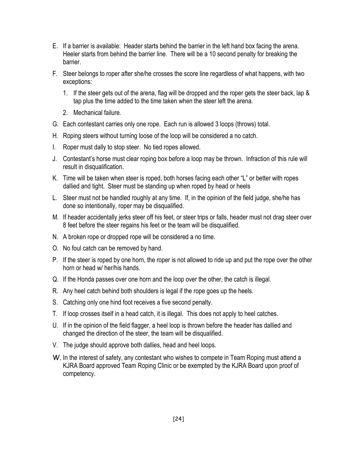- E. If a barrier is available: Header starts behind the barrier in the left hand box facing the arena. Heeler starts from behind the barrier line. There will be a 10 second penalty for breaking the barrier.
- F. Steer belongs to roper after she/he crosses the score line regardless of what happens, with two exceptions:
	- 1. If the steer gets out of the arena, flag will be dropped and the roper gets the steer back, lap & tap plus the time added to the time taken when the steer left the arena.
	- 2. Mechanical failure.
- G. Each contestant carries only one rope. Each run is allowed 3 loops (throws) total.
- H. Roping steers without turning loose of the loop will be considered a no catch.
- I. Roper must dally to stop steer. No tied ropes allowed.
- J. Contestant's horse must clear roping box before a loop may be thrown. Infraction of this rule will result in disqualification.
- K. Time will be taken when steer is roped, both horses facing each other "L" or better with ropes dallied and tight. Steer must be standing up when roped by head or heels
- L. Steer must not be handled roughly at any time. If, in the opinion of the field judge, she/he has done so intentionally, roper may be disqualified.
- M. If header accidentally jerks steer off his feet, or steer trips or falls, header must not drag steer over 8 feet before the steer regains his feet or the team will be disqualified.
- N. A broken rope or dropped rope will be considered a no time.
- O. No foul catch can be removed by hand.
- P. If the steer is roped by one horn, the roper is not allowed to ride up and put the rope over the other horn or head w/ her/his hands.
- Q. If the Honda passes over one horn and the loop over the other, the catch is illegal.
- R. Any heel catch behind both shoulders is legal if the rope goes up the heels.
- S. Catching only one hind foot receives a five second penalty.
- T. If loop crosses itself in a head catch, it is illegal. This does not apply to heel catches.
- U. If in the opinion of the field flagger, a heel loop is thrown before the header has dallied and changed the direction of the steer, the team will be disqualified.
- V. The judge should approve both dallies, head and heel loops.
- W. In the interest of safety, any contestant who wishes to compete in Team Roping must attend a KJRA Board approved Team Roping Clinic or be exempted by the KJRA Board upon proof of competency.